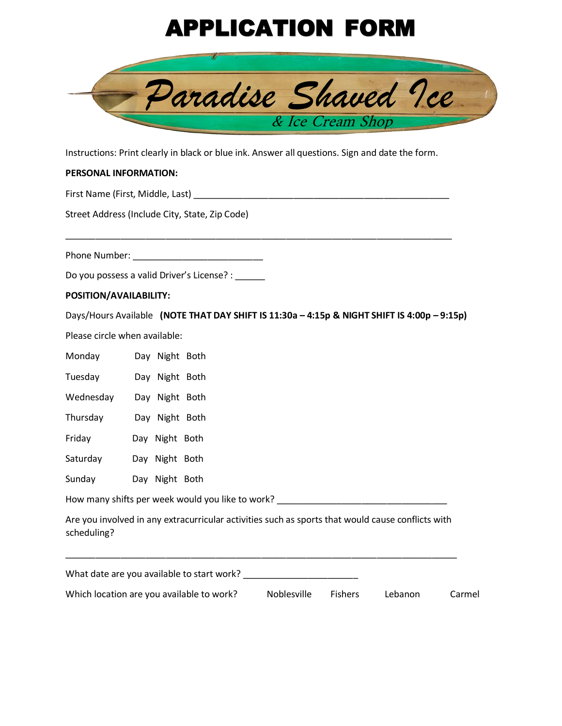# APPLICATION FORM



Instructions: Print clearly in black or blue ink. Answer all questions. Sign and date the form.

## **PERSONAL INFORMATION:**

First Name (First, Middle, Last) \_\_\_\_\_\_\_\_\_\_\_\_\_\_\_\_\_\_\_\_\_\_\_\_\_\_\_\_\_\_\_\_\_\_\_\_\_\_\_\_\_\_\_\_\_\_\_\_\_\_\_

Street Address (Include City, State, Zip Code)

Phone Number: \_\_\_\_\_\_\_\_\_\_\_\_\_\_\_\_\_\_\_\_\_\_\_\_\_\_

Do you possess a valid Driver's License? : \_\_\_\_\_\_

### **POSITION/AVAILABILITY:**

Days/Hours Available **(NOTE THAT DAY SHIFT IS 11:30a – 4:15p & NIGHT SHIFT IS 4:00p – 9:15p)**

Please circle when available:

| Monday                                    | Day Night Both |                                                                                                   |             |         |         |        |
|-------------------------------------------|----------------|---------------------------------------------------------------------------------------------------|-------------|---------|---------|--------|
| Tuesday                                   | Day Night Both |                                                                                                   |             |         |         |        |
| Wednesday                                 | Day Night Both |                                                                                                   |             |         |         |        |
| Thursday                                  | Day Night Both |                                                                                                   |             |         |         |        |
| Friday                                    | Day Night Both |                                                                                                   |             |         |         |        |
| Saturday                                  | Day Night Both |                                                                                                   |             |         |         |        |
| Sunday                                    | Day Night Both |                                                                                                   |             |         |         |        |
|                                           |                | How many shifts per week would you like to work?                                                  |             |         |         |        |
| scheduling?                               |                | Are you involved in any extracurricular activities such as sports that would cause conflicts with |             |         |         |        |
|                                           |                | What date are you available to start work?                                                        |             |         |         |        |
| Which location are you available to work? |                |                                                                                                   | Noblesville | Fishers | Lebanon | Carmel |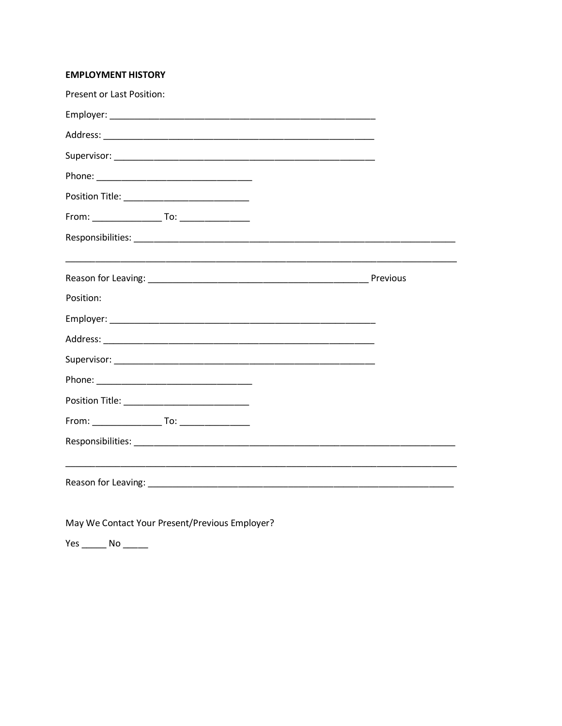## **EMPLOYMENT HISTORY**

| Present or Last Position: |  |
|---------------------------|--|
|                           |  |
|                           |  |
|                           |  |
|                           |  |
|                           |  |
|                           |  |
|                           |  |
|                           |  |
|                           |  |
| Position:                 |  |
|                           |  |
|                           |  |
|                           |  |
|                           |  |
|                           |  |
|                           |  |
|                           |  |
|                           |  |
|                           |  |
|                           |  |
|                           |  |

May We Contact Your Present/Previous Employer?